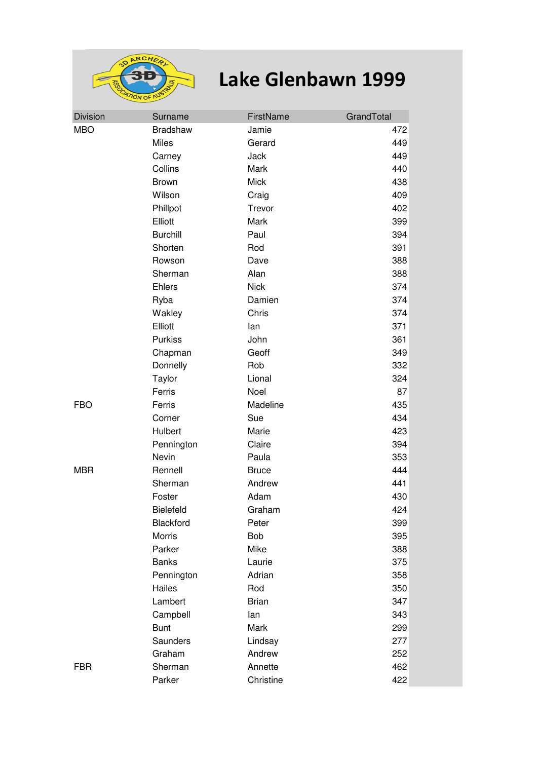

## **Lake Glenbawn 1999**

| <b>Division</b> | Surname          | FirstName    | GrandTotal |
|-----------------|------------------|--------------|------------|
| <b>MBO</b>      | <b>Bradshaw</b>  | Jamie        | 472        |
|                 | Miles            | Gerard       | 449        |
|                 | Carney           | Jack         | 449        |
|                 | Collins          | Mark         | 440        |
|                 | <b>Brown</b>     | <b>Mick</b>  | 438        |
|                 | Wilson           | Craig        | 409        |
|                 | Phillpot         | Trevor       | 402        |
|                 | Elliott          | Mark         | 399        |
|                 | <b>Burchill</b>  | Paul         | 394        |
|                 | Shorten          | Rod          | 391        |
|                 | Rowson           | Dave         | 388        |
|                 | Sherman          | Alan         | 388        |
|                 | <b>Ehlers</b>    | <b>Nick</b>  | 374        |
|                 | Ryba             | Damien       | 374        |
|                 | Wakley           | Chris        | 374        |
|                 | Elliott          | lan          | 371        |
|                 | <b>Purkiss</b>   | John         | 361        |
|                 | Chapman          | Geoff        | 349        |
|                 | Donnelly         | Rob          | 332        |
|                 | Taylor           | Lional       | 324        |
|                 | Ferris           | Noel         | 87         |
| <b>FBO</b>      | Ferris           | Madeline     | 435        |
|                 | Corner           | Sue          | 434        |
|                 | Hulbert          | Marie        | 423        |
|                 | Pennington       | Claire       | 394        |
|                 | Nevin            | Paula        | 353        |
| <b>MBR</b>      | Rennell          | <b>Bruce</b> | 444        |
|                 | Sherman          | Andrew       | 441        |
|                 | Foster           | Adam         | 430        |
|                 | <b>Bielefeld</b> | Graham       | 424        |
|                 | Blackford        | Peter        | 399        |
|                 | <b>Morris</b>    | Bob          | 395        |
|                 | Parker           | Mike         | 388        |
|                 | <b>Banks</b>     | Laurie       | 375        |
|                 | Pennington       | Adrian       | 358        |
|                 | Hailes           | Rod          | 350        |
|                 | Lambert          | <b>Brian</b> | 347        |
|                 | Campbell         | lan          | 343        |
|                 | <b>Bunt</b>      | Mark         | 299        |
|                 | Saunders         | Lindsay      | 277        |
|                 | Graham           | Andrew       | 252        |
| <b>FBR</b>      | Sherman          | Annette      | 462        |
|                 | Parker           | Christine    | 422        |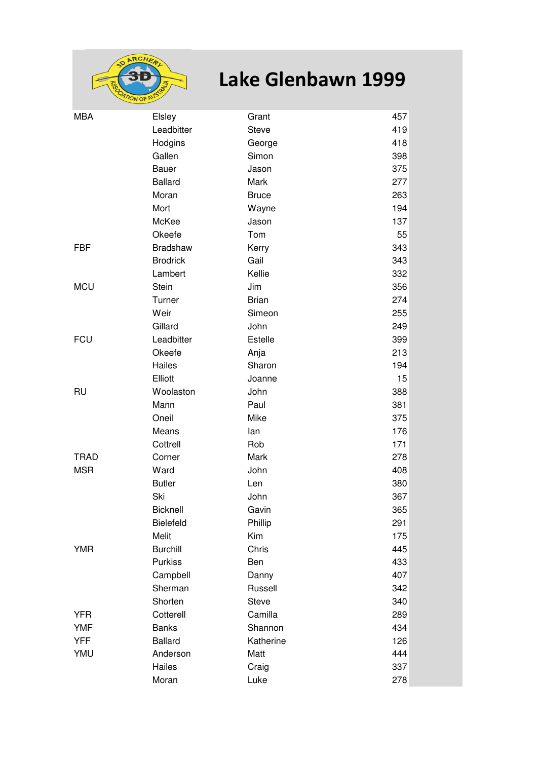

## **Lake Glenbawn 1999**

| <b>MBA</b>  | Elsley           | Grant        | 457 |
|-------------|------------------|--------------|-----|
|             | Leadbitter       | <b>Steve</b> | 419 |
|             | Hodgins          | George       | 418 |
|             | Gallen           | Simon        | 398 |
|             | Bauer            | Jason        | 375 |
|             | <b>Ballard</b>   | Mark         | 277 |
|             | Moran            | <b>Bruce</b> | 263 |
|             | Mort             | Wayne        | 194 |
|             | McKee            | Jason        | 137 |
|             | Okeefe           | Tom          | 55  |
| <b>FBF</b>  | <b>Bradshaw</b>  | Kerry        | 343 |
|             | <b>Brodrick</b>  | Gail         | 343 |
|             | Lambert          | Kellie       | 332 |
| <b>MCU</b>  | <b>Stein</b>     | Jim          | 356 |
|             | Turner           | <b>Brian</b> | 274 |
|             | Weir             | Simeon       | 255 |
|             | Gillard          | John         | 249 |
| <b>FCU</b>  | Leadbitter       | Estelle      | 399 |
|             | Okeefe           | Anja         | 213 |
|             | Hailes           | Sharon       | 194 |
|             | Elliott          | Joanne       | 15  |
| <b>RU</b>   | Woolaston        | John         | 388 |
|             | Mann             | Paul         | 381 |
|             | Oneil            | Mike         | 375 |
|             | Means            | lan          | 176 |
|             | Cottrell         | Rob          | 171 |
| <b>TRAD</b> | Corner           | Mark         | 278 |
| <b>MSR</b>  | Ward             | John         | 408 |
|             | <b>Butler</b>    | Len          | 380 |
|             | Ski              | John         | 367 |
|             | Bicknell         | Gavin        | 365 |
|             | <b>Bielefeld</b> | Phillip      | 291 |
|             | Melit            | Kim          | 175 |
| <b>YMR</b>  | <b>Burchill</b>  | Chris        | 445 |
|             | <b>Purkiss</b>   | Ben          | 433 |
|             | Campbell         | Danny        | 407 |
|             | Sherman          | Russell      | 342 |
|             | Shorten          | <b>Steve</b> | 340 |
| <b>YFR</b>  | Cotterell        | Camilla      | 289 |
| <b>YMF</b>  | <b>Banks</b>     | Shannon      | 434 |
| <b>YFF</b>  | <b>Ballard</b>   | Katherine    | 126 |
| YMU         | Anderson         | Matt         | 444 |
|             | Hailes           | Craig        | 337 |
|             | Moran            | Luke         | 278 |
|             |                  |              |     |